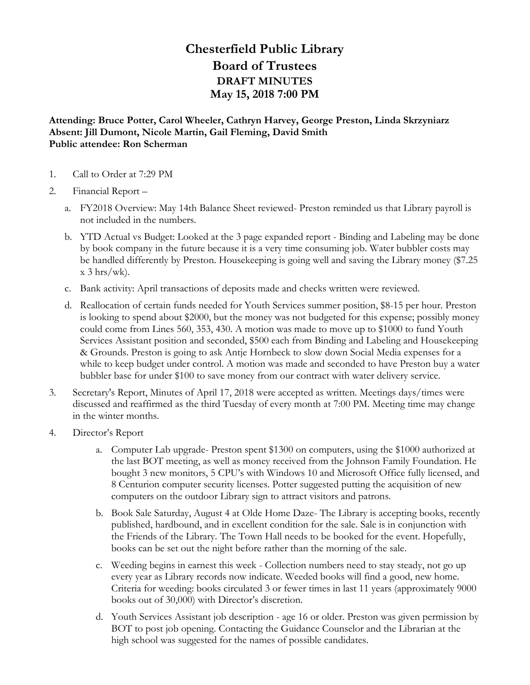## **Chesterfield Public Library Board of Trustees DRAFT MINUTES May 15, 2018 7:00 PM**

**Attending: Bruce Potter, Carol Wheeler, Cathryn Harvey, George Preston, Linda Skrzyniarz Absent: Jill Dumont, Nicole Martin, Gail Fleming, David Smith Public attendee: Ron Scherman**

- 1. Call to Order at 7:29 PM
- 2. Financial Report
	- a. FY2018 Overview: May 14th Balance Sheet reviewed- Preston reminded us that Library payroll is not included in the numbers.
	- b. YTD Actual vs Budget: Looked at the 3 page expanded report Binding and Labeling may be done by book company in the future because it is a very time consuming job. Water bubbler costs may be handled differently by Preston. Housekeeping is going well and saving the Library money (\$7.25  $x$  3 hrs/wk).
	- c. Bank activity: April transactions of deposits made and checks written were reviewed.
	- d. Reallocation of certain funds needed for Youth Services summer position, \$8-15 per hour. Preston is looking to spend about \$2000, but the money was not budgeted for this expense; possibly money could come from Lines 560, 353, 430. A motion was made to move up to \$1000 to fund Youth Services Assistant position and seconded, \$500 each from Binding and Labeling and Housekeeping & Grounds. Preston is going to ask Antje Hornbeck to slow down Social Media expenses for a while to keep budget under control. A motion was made and seconded to have Preston buy a water bubbler base for under \$100 to save money from our contract with water delivery service.
- 3. Secretary's Report, Minutes of April 17, 2018 were accepted as written. Meetings days/times were discussed and reaffirmed as the third Tuesday of every month at 7:00 PM. Meeting time may change in the winter months.
- 4. Director's Report
	- a. Computer Lab upgrade- Preston spent \$1300 on computers, using the \$1000 authorized at the last BOT meeting, as well as money received from the Johnson Family Foundation. He bought 3 new monitors, 5 CPU's with Windows 10 and Microsoft Office fully licensed, and 8 Centurion computer security licenses. Potter suggested putting the acquisition of new computers on the outdoor Library sign to attract visitors and patrons.
	- b. Book Sale Saturday, August 4 at Olde Home Daze- The Library is accepting books, recently published, hardbound, and in excellent condition for the sale. Sale is in conjunction with the Friends of the Library. The Town Hall needs to be booked for the event. Hopefully, books can be set out the night before rather than the morning of the sale.
	- c. Weeding begins in earnest this week Collection numbers need to stay steady, not go up every year as Library records now indicate. Weeded books will find a good, new home. Criteria for weeding: books circulated 3 or fewer times in last 11 years (approximately 9000 books out of 30,000) with Director's discretion.
	- d. Youth Services Assistant job description age 16 or older. Preston was given permission by BOT to post job opening. Contacting the Guidance Counselor and the Librarian at the high school was suggested for the names of possible candidates.